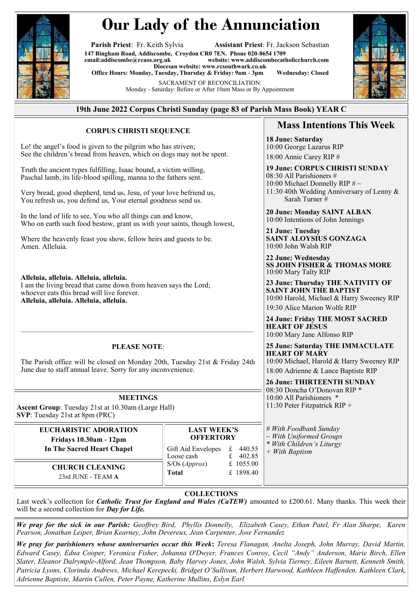

# **Our Lady of the Annunciation**

**Parish Priest**: Fr. Keith Sylvia **Assistant Priest**: Fr. Jackson Sebastian **147 Bingham Road, Addiscombe, Croydon CR0 7EN. Phone 020-8654 1709**  $website: [www.addiscombecatholicchurch.com](http://www.addiscombecatholicchurch.com)$  $website: [www.addiscombecatholicchurch.com](http://www.addiscombecatholicchurch.com)$  $website: [www.addiscombecatholicchurch.com](http://www.addiscombecatholicchurch.com)$ **Diocesan website: [www.rcsouthwark.co.uk](http://www.rcsouthwark.co.uk/)  Office Hours: Monday, Tuesday, Thursday & Friday: 9am - 3pm Wednesday: Closed** SACRAMENT OF RECONCILIATION:

Monday - Saturday: Before or After 10am Mass or By Appointment



## **19th June 2022 Corpus Christi Sunday (page 83 of Parish Mass Book) YEAR C**

#### **CORPUS CHRISTI SEQUENCE**

Lo! the angel's food is given to the pilgrim who has striven; See the children's bread from heaven, which on dogs may not be spent.

Truth the ancient types fulfilling, Isaac bound, a victim willing, Paschal lamb, its life-blood spilling, manna to the fathers sent.

Very bread, good shepherd, tend us, Jesu, of your love befriend us, You refresh us, you defend us, Your eternal goodness send us.

In the land of life to see, You who all things can and know, Who on earth such food bestow, grant us with your saints, though lowest,

Where the heavenly feast you show, fellow heirs and guests to be. Amen. Alleluia.

**Alleluia, alleluia. Alleluia, alleluia.** I am the living bread that came down from heaven says the Lord; whoever eats this bread will live forever. **Alleluia, alleluia. Alleluia, alleluia.**

# $\overline{\phantom{a}}$  , and the contribution of the contribution of  $\overline{\phantom{a}}$ **PLEASE NOTE**:

The Parish office will be closed on Monday 20th, Tuesday 21st & Friday 24th June due to staff annual leave. Sorry for any inconvenience.

#### **MEETINGS**

**Ascent Group**: Tuesday 21st at 10.30am (Large Hall) **SVP**: Tuesday 21st at 8pm (PRC)

## **EUCHARISTIC ADORATION Fridays 10.30am - 12pm In The Sacred Heart Chapel**

**CHURCH CLEANING**  23rd JUNE - TEAM **A**

## **LAST WEEK'S OFFERTORY** Gift Aid Envelopes  $\begin{array}{r}\n\text{£} \\
\text{£} \\
\text{402.85}\n\end{array}$ Loose cash  $\begin{array}{cc} \text{\textsterling} & \text{\textsterling} & 402.85 \\ \text{\textsterling} & \text{\textsterling} & 1055.00 \end{array}$ S/Os (*Approx*) **Total** £ 1898.40

### **COLLECTIONS**

Last week's collection for *Catholic Trust for England and Wales (CaTEW)* amounted to £200.61. Many thanks. This week their will be a second collection for *Day for Life.*

*We pray for the sick in our Parish: Geoffrey Bird, Phyllis Donnelly, Elizabeth Casey, Ethan Patel, Fr Alan Sharpe, Karen Pearson, Jonathan Leiper, Brian Kearney, John Devereux, Jean Carpenter, Jose Fernandez*

*We pray for parishioners whose anniversaries occur this Week***:** *Teresa Flanagan, Anelta Joseph, John Murray, David Martin, Edward Casey, Edna Cooper, Veronica Fisher, Johanna O'Dwyer, Frances Conroy, Cecil "Andy" Anderson, Marie Birch, Ellen Slater, Eleanor Dalrymple-Alford, Jean Thompson, Baby Harvey Jones, John Walsh, Sylvia Tierney, Eileen Barnett, Kenneth Smith, Patricia Lyons, Clorinda Andrews, Michael Kerepecki, Bridget O'Sullivan, Herbert Harwood, Kathleen Haffenden, Kathleen Clark, Adrienne Baptiste, Martin Cullen, Peter Payne, Katherine Mullins, Eslyn Earl*

## **Mass Intentions This Week**

**18 June: Saturday**  10:00 George Lazarus RIP 18:00 Annie Carey RIP #

**19 June: CORPUS CHRISTI SUNDAY**  08:30 All Parishioners # 10:00 Michael Donnelly RIP  $\# \sim$ 11:30 40th Wedding Anniversary of Lenny & Sarah Turner #

**20 June: Monday SAINT ALBAN** 10:00 Intentions of John Jennings

**21 June: Tuesday SAINT ALOYSIUS GONZAGA** 10:00 John Walsh RIP

**22 June: Wednesday SS JOHN FISHER & THOMAS MORE** 10:00 Mary Talty RIP

**23 June: Thursday THE NATIVITY OF SAINT JOHN THE BAPTIST** 10:00 Harold, Michael & Harry Sweeney RIP 19:30 Alice Marion Wolfe RIP

**24 June: Friday THE MOST SACRED HEART OF JESUS** 10:00 Mary Jane Alfonso RIP

**25 June: Saturday THE IMMACULATE HEART OF MARY** 10:00 Michael, Harold & Harry Sweeney RIP 18:00 Adrienne & Lance Baptiste RIP

**26 June: THIRTEENTH SUNDAY**  08:30 Doncha O'Donovan RIP \* 10:00 All Parishioners \* 11:30 Peter Fitzpatrick RIP +

*# With Foodbank Sunday ~ With Uniformed Groups \* With Children's Liturgy + With Baptism*